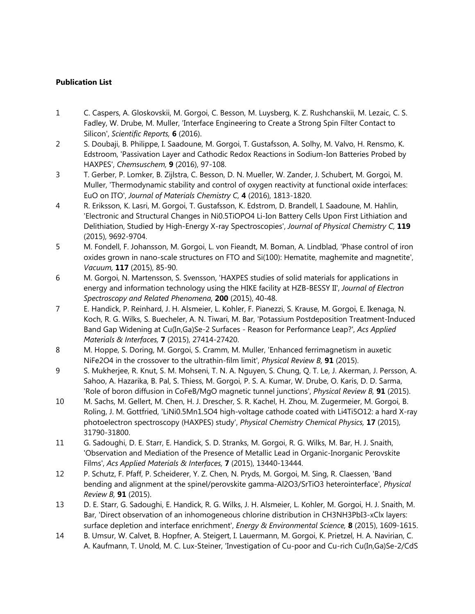## **Publication List**

- 1 C. Caspers, A. Gloskovskii, M. Gorgoi, C. Besson, M. Luysberg, K. Z. Rushchanskii, M. Lezaic, C. S. Fadley, W. Drube, M. Muller, 'Interface Engineering to Create a Strong Spin Filter Contact to Silicon', *Scientific Reports,* **6** (2016).
- 2 S. Doubaji, B. Philippe, I. Saadoune, M. Gorgoi, T. Gustafsson, A. Solhy, M. Valvo, H. Rensmo, K. Edstroom, 'Passivation Layer and Cathodic Redox Reactions in Sodium-Ion Batteries Probed by HAXPES', *Chemsuschem,* **9** (2016), 97-108.
- 3 T. Gerber, P. Lomker, B. Zijlstra, C. Besson, D. N. Mueller, W. Zander, J. Schubert, M. Gorgoi, M. Muller, 'Thermodynamic stability and control of oxygen reactivity at functional oxide interfaces: EuO on ITO', *Journal of Materials Chemistry C,* **4** (2016), 1813-1820.
- 4 R. Eriksson, K. Lasri, M. Gorgoi, T. Gustafsson, K. Edstrom, D. Brandell, I. Saadoune, M. Hahlin, 'Electronic and Structural Changes in Ni0.5TiOPO4 Li-Ion Battery Cells Upon First Lithiation and Delithiation, Studied by High-Energy X-ray Spectroscopies', *Journal of Physical Chemistry C,* **119** (2015), 9692-9704.
- 5 M. Fondell, F. Johansson, M. Gorgoi, L. von Fieandt, M. Boman, A. Lindblad, 'Phase control of iron oxides grown in nano-scale structures on FTO and Si(100): Hematite, maghemite and magnetite', *Vacuum,* **117** (2015), 85-90.
- 6 M. Gorgoi, N. Martensson, S. Svensson, 'HAXPES studies of solid materials for applications in energy and information technology using the HIKE facility at HZB-BESSY II', *Journal of Electron Spectroscopy and Related Phenomena,* **200** (2015), 40-48.
- 7 E. Handick, P. Reinhard, J. H. Alsmeier, L. Kohler, F. Pianezzi, S. Krause, M. Gorgoi, E. Ikenaga, N. Koch, R. G. Wilks, S. Buecheler, A. N. Tiwari, M. Bar, 'Potassium Postdeposition Treatment-Induced Band Gap Widening at Cu(In,Ga)Se-2 Surfaces - Reason for Performance Leap?', *Acs Applied Materials & Interfaces,* **7** (2015), 27414-27420.
- 8 M. Hoppe, S. Doring, M. Gorgoi, S. Cramm, M. Muller, 'Enhanced ferrimagnetism in auxetic NiFe2O4 in the crossover to the ultrathin-film limit', *Physical Review B,* **91** (2015).
- 9 S. Mukherjee, R. Knut, S. M. Mohseni, T. N. A. Nguyen, S. Chung, Q. T. Le, J. Akerman, J. Persson, A. Sahoo, A. Hazarika, B. Pal, S. Thiess, M. Gorgoi, P. S. A. Kumar, W. Drube, O. Karis, D. D. Sarma, 'Role of boron diffusion in CoFeB/MgO magnetic tunnel junctions', *Physical Review B,* **91** (2015).
- 10 M. Sachs, M. Gellert, M. Chen, H. J. Drescher, S. R. Kachel, H. Zhou, M. Zugermeier, M. Gorgoi, B. Roling, J. M. Gottfried, 'LiNi0.5Mn1.5O4 high-voltage cathode coated with Li4Ti5O12: a hard X-ray photoelectron spectroscopy (HAXPES) study', *Physical Chemistry Chemical Physics,* **17** (2015), 31790-31800.
- 11 G. Sadoughi, D. E. Starr, E. Handick, S. D. Stranks, M. Gorgoi, R. G. Wilks, M. Bar, H. J. Snaith, 'Observation and Mediation of the Presence of Metallic Lead in Organic-Inorganic Perovskite Films', *Acs Applied Materials & Interfaces,* **7** (2015), 13440-13444.
- 12 P. Schutz, F. Pfaff, P. Scheiderer, Y. Z. Chen, N. Pryds, M. Gorgoi, M. Sing, R. Claessen, 'Band bending and alignment at the spinel/perovskite gamma-Al2O3/SrTiO3 heterointerface', *Physical Review B,* **91** (2015).
- 13 D. E. Starr, G. Sadoughi, E. Handick, R. G. Wilks, J. H. Alsmeier, L. Kohler, M. Gorgoi, H. J. Snaith, M. Bar, 'Direct observation of an inhomogeneous chlorine distribution in CH3NH3PbI3-xClx layers: surface depletion and interface enrichment', *Energy & Environmental Science,* **8** (2015), 1609-1615.
- 14 B. Umsur, W. Calvet, B. Hopfner, A. Steigert, I. Lauermann, M. Gorgoi, K. Prietzel, H. A. Navirian, C. A. Kaufmann, T. Unold, M. C. Lux-Steiner, 'Investigation of Cu-poor and Cu-rich Cu(In,Ga)Se-2/CdS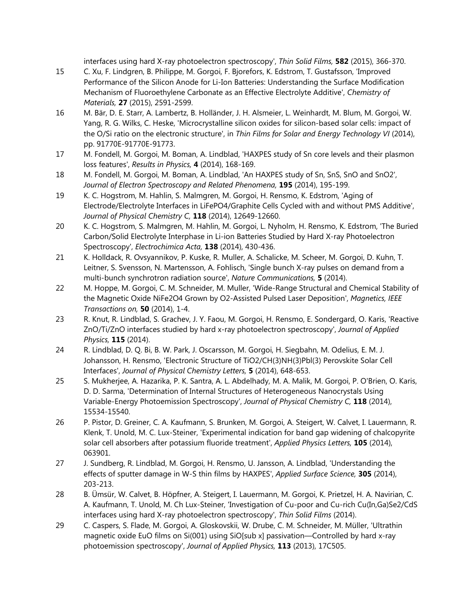interfaces using hard X-ray photoelectron spectroscopy', *Thin Solid Films,* **582** (2015), 366-370.

- 15 C. Xu, F. Lindgren, B. Philippe, M. Gorgoi, F. Bjorefors, K. Edstrom, T. Gustafsson, 'Improved Performance of the Silicon Anode for Li-Ion Batteries: Understanding the Surface Modification Mechanism of Fluoroethylene Carbonate as an Effective Electrolyte Additive', *Chemistry of Materials,* **27** (2015), 2591-2599.
- 16 M. Bär, D. E. Starr, A. Lambertz, B. Holländer, J. H. Alsmeier, L. Weinhardt, M. Blum, M. Gorgoi, W. Yang, R. G. Wilks, C. Heske, 'Microcrystalline silicon oxides for silicon-based solar cells: impact of the O/Si ratio on the electronic structure', in *Thin Films for Solar and Energy Technology VI* (2014), pp. 91770E-91770E-91773.
- 17 M. Fondell, M. Gorgoi, M. Boman, A. Lindblad, 'HAXPES study of Sn core levels and their plasmon loss features', *Results in Physics,* **4** (2014), 168-169.
- 18 M. Fondell, M. Gorgoi, M. Boman, A. Lindblad, 'An HAXPES study of Sn, SnS, SnO and SnO2', *Journal of Electron Spectroscopy and Related Phenomena,* **195** (2014), 195-199.
- 19 K. C. Hogstrom, M. Hahlin, S. Malmgren, M. Gorgoi, H. Rensmo, K. Edstrom, 'Aging of Electrode/Electrolyte Interfaces in LiFePO4/Graphite Cells Cycled with and without PMS Additive', *Journal of Physical Chemistry C,* **118** (2014), 12649-12660.
- 20 K. C. Hogstrom, S. Malmgren, M. Hahlin, M. Gorgoi, L. Nyholm, H. Rensmo, K. Edstrom, 'The Buried Carbon/Solid Electrolyte Interphase in Li-ion Batteries Studied by Hard X-ray Photoelectron Spectroscopy', *Electrochimica Acta,* **138** (2014), 430-436.
- 21 K. Holldack, R. Ovsyannikov, P. Kuske, R. Muller, A. Schalicke, M. Scheer, M. Gorgoi, D. Kuhn, T. Leitner, S. Svensson, N. Martensson, A. Fohlisch, 'Single bunch X-ray pulses on demand from a multi-bunch synchrotron radiation source', *Nature Communications,* **5** (2014).
- 22 M. Hoppe, M. Gorgoi, C. M. Schneider, M. Muller, 'Wide-Range Structural and Chemical Stability of the Magnetic Oxide NiFe2O4 Grown by O2-Assisted Pulsed Laser Deposition', *Magnetics, IEEE Transactions on,* **50** (2014), 1-4.
- 23 R. Knut, R. Lindblad, S. Grachev, J. Y. Faou, M. Gorgoi, H. Rensmo, E. Sondergard, O. Karis, 'Reactive ZnO/Ti/ZnO interfaces studied by hard x-ray photoelectron spectroscopy', *Journal of Applied Physics,* **115** (2014).
- 24 R. Lindblad, D. Q. Bi, B. W. Park, J. Oscarsson, M. Gorgoi, H. Siegbahn, M. Odelius, E. M. J. Johansson, H. Rensmo, 'Electronic Structure of TiO2/CH(3)NH(3)Pbl(3) Perovskite Solar Cell Interfaces', *Journal of Physical Chemistry Letters,* **5** (2014), 648-653.
- 25 S. Mukherjee, A. Hazarika, P. K. Santra, A. L. Abdelhady, M. A. Malik, M. Gorgoi, P. O'Brien, O. Karis, D. D. Sarma, 'Determination of Internal Structures of Heterogeneous Nanocrystals Using Variable-Energy Photoemission Spectroscopy', *Journal of Physical Chemistry C,* **118** (2014), 15534-15540.
- 26 P. Pistor, D. Greiner, C. A. Kaufmann, S. Brunken, M. Gorgoi, A. Steigert, W. Calvet, I. Lauermann, R. Klenk, T. Unold, M. C. Lux-Steiner, 'Experimental indication for band gap widening of chalcopyrite solar cell absorbers after potassium fluoride treatment', *Applied Physics Letters,* **105** (2014), 063901.
- 27 J. Sundberg, R. Lindblad, M. Gorgoi, H. Rensmo, U. Jansson, A. Lindblad, 'Understanding the effects of sputter damage in W-S thin films by HAXPES', *Applied Surface Science,* **305** (2014), 203-213.
- 28 B. Ümsür, W. Calvet, B. Höpfner, A. Steigert, I. Lauermann, M. Gorgoi, K. Prietzel, H. A. Navirian, C. A. Kaufmann, T. Unold, M. Ch Lux-Steiner, 'Investigation of Cu-poor and Cu-rich Cu(In,Ga)Se2/CdS interfaces using hard X-ray photoelectron spectroscopy', *Thin Solid Films* (2014).
- 29 C. Caspers, S. Flade, M. Gorgoi, A. Gloskovskii, W. Drube, C. M. Schneider, M. Müller, 'Ultrathin magnetic oxide EuO films on Si(001) using SiO[sub x] passivation—Controlled by hard x-ray photoemission spectroscopy', *Journal of Applied Physics,* **113** (2013), 17C505.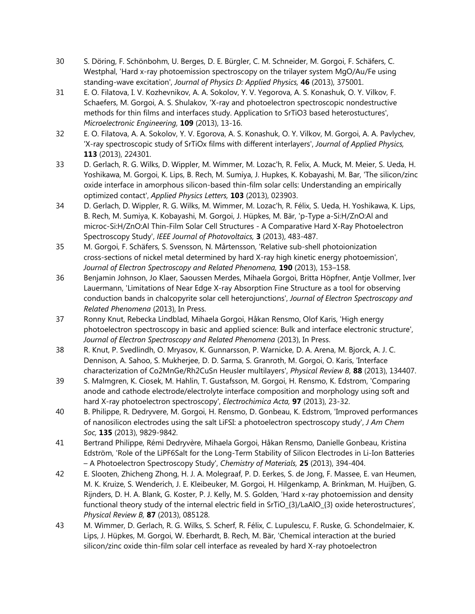- 30 S. Döring, F. Schönbohm, U. Berges, D. E. Bürgler, C. M. Schneider, M. Gorgoi, F. Schäfers, C. Westphal, 'Hard x-ray photoemission spectroscopy on the trilayer system MgO/Au/Fe using standing-wave excitation', *Journal of Physics D: Applied Physics,* **46** (2013), 375001.
- 31 E. O. Filatova, I. V. Kozhevnikov, A. A. Sokolov, Y. V. Yegorova, A. S. Konashuk, O. Y. Vilkov, F. Schaefers, M. Gorgoi, A. S. Shulakov, 'X-ray and photoelectron spectroscopic nondestructive methods for thin films and interfaces study. Application to SrTiO3 based heterostuctures', *Microelectronic Engineering,* **109** (2013), 13-16.
- 32 E. O. Filatova, A. A. Sokolov, Y. V. Egorova, A. S. Konashuk, O. Y. Vilkov, M. Gorgoi, A. A. Pavlychev, 'X-ray spectroscopic study of SrTiOx films with different interlayers', *Journal of Applied Physics,* **113** (2013), 224301.
- 33 D. Gerlach, R. G. Wilks, D. Wippler, M. Wimmer, M. Lozac'h, R. Felix, A. Muck, M. Meier, S. Ueda, H. Yoshikawa, M. Gorgoi, K. Lips, B. Rech, M. Sumiya, J. Hupkes, K. Kobayashi, M. Bar, 'The silicon/zinc oxide interface in amorphous silicon-based thin-film solar cells: Understanding an empirically optimized contact', *Applied Physics Letters,* **103** (2013), 023903.
- 34 D. Gerlach, D. Wippler, R. G. Wilks, M. Wimmer, M. Lozac'h, R. Félix, S. Ueda, H. Yoshikawa, K. Lips, B. Rech, M. Sumiya, K. Kobayashi, M. Gorgoi, J. Hüpkes, M. Bär, 'p-Type a-Si:H/ZnO:Al and microc-Si:H/ZnO:Al Thin-Film Solar Cell Structures - A Comparative Hard X-Ray Photoelectron Spectroscopy Study', *IEEE Journal of Photovoltaics,* **3** (2013), 483-487.
- 35 M. Gorgoi, F. Schäfers, S. Svensson, N. Mårtensson, 'Relative sub-shell photoionization cross-sections of nickel metal determined by hard X-ray high kinetic energy photoemission', *Journal of Electron Spectroscopy and Related Phenomena,* **190** (2013), 153–158.
- 36 Benjamin Johnson, Jo Klaer, Saoussen Merdes, Mihaela Gorgoi, Britta Höpfner, Antje Vollmer, Iver Lauermann, 'Limitations of Near Edge X-ray Absorption Fine Structure as a tool for observing conduction bands in chalcopyrite solar cell heterojunctions', *Journal of Electron Spectroscopy and Related Phenomena* (2013), In Press.
- 37 Ronny Knut, Rebecka Lindblad, Mihaela Gorgoi, Håkan Rensmo, Olof Karis, 'High energy photoelectron spectroscopy in basic and applied science: Bulk and interface electronic structure', *Journal of Electron Spectroscopy and Related Phenomena* (2013), In Press.
- 38 R. Knut, P. Svedlindh, O. Mryasov, K. Gunnarsson, P. Warnicke, D. A. Arena, M. Bjorck, A. J. C. Dennison, A. Sahoo, S. Mukherjee, D. D. Sarma, S. Granroth, M. Gorgoi, O. Karis, 'Interface characterization of Co2MnGe/Rh2CuSn Heusler multilayers', *Physical Review B,* **88** (2013), 134407.
- 39 S. Malmgren, K. Ciosek, M. Hahlin, T. Gustafsson, M. Gorgoi, H. Rensmo, K. Edstrom, 'Comparing anode and cathode electrode/electrolyte interface composition and morphology using soft and hard X-ray photoelectron spectroscopy', *Electrochimica Acta,* **97** (2013), 23-32.
- 40 B. Philippe, R. Dedryvere, M. Gorgoi, H. Rensmo, D. Gonbeau, K. Edstrom, 'Improved performances of nanosilicon electrodes using the salt LiFSI: a photoelectron spectroscopy study', *J Am Chem Soc,* **135** (2013), 9829-9842.
- 41 Bertrand Philippe, Rémi Dedryvère, Mihaela Gorgoi, Håkan Rensmo, Danielle Gonbeau, Kristina Edström, 'Role of the LiPF6Salt for the Long-Term Stability of Silicon Electrodes in Li-Ion Batteries – A Photoelectron Spectroscopy Study', *Chemistry of Materials,* **25** (2013), 394-404.
- 42 E. Slooten, Zhicheng Zhong, H. J. A. Molegraaf, P. D. Eerkes, S. de Jong, F. Massee, E. van Heumen, M. K. Kruize, S. Wenderich, J. E. Kleibeuker, M. Gorgoi, H. Hilgenkamp, A. Brinkman, M. Huijben, G. Rijnders, D. H. A. Blank, G. Koster, P. J. Kelly, M. S. Golden, 'Hard x-ray photoemission and density functional theory study of the internal electric field in SrTiO\_{3}/LaAlO\_{3} oxide heterostructures', *Physical Review B,* **87** (2013), 085128.
- 43 M. Wimmer, D. Gerlach, R. G. Wilks, S. Scherf, R. Félix, C. Lupulescu, F. Ruske, G. Schondelmaier, K. Lips, J. Hüpkes, M. Gorgoi, W. Eberhardt, B. Rech, M. Bär, 'Chemical interaction at the buried silicon/zinc oxide thin-film solar cell interface as revealed by hard X-ray photoelectron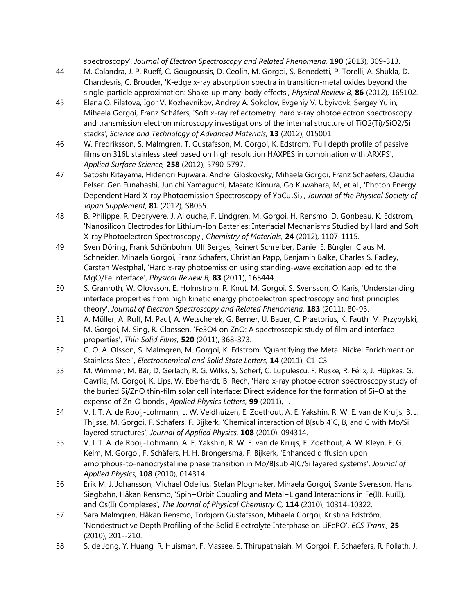spectroscopy', *Journal of Electron Spectroscopy and Related Phenomena,* **190** (2013), 309-313.

- 44 M. Calandra, J. P. Rueff, C. Gougoussis, D. Ceolin, M. Gorgoi, S. Benedetti, P. Torelli, A. Shukla, D. Chandesris, C. Brouder, 'K-edge x-ray absorption spectra in transition-metal oxides beyond the single-particle approximation: Shake-up many-body effects', *Physical Review B,* **86** (2012), 165102.
- 45 Elena O. Filatova, Igor V. Kozhevnikov, Andrey A. Sokolov, Evgeniy V. Ubyivovk, Sergey Yulin, Mihaela Gorgoi, Franz Schäfers, 'Soft x-ray reflectometry, hard x-ray photoelectron spectroscopy and transmission electron microscopy investigations of the internal structure of TiO2(Ti)/SiO2/Si stacks', *Science and Technology of Advanced Materials,* **13** (2012), 015001.
- 46 W. Fredriksson, S. Malmgren, T. Gustafsson, M. Gorgoi, K. Edstrom, 'Full depth profile of passive films on 316L stainless steel based on high resolution HAXPES in combination with ARXPS', *Applied Surface Science,* **258** (2012), 5790-5797.
- 47 Satoshi Kitayama, Hidenori Fujiwara, Andrei Gloskovsky, Mihaela Gorgoi, Franz Schaefers, Claudia Felser, Gen Funabashi, Junichi Yamaguchi, Masato Kimura, Go Kuwahara, M, et al., 'Photon Energy Dependent Hard X-ray Photoemission Spectroscopy of YbCu<sub>2</sub>Si<sub>2</sub>', *Journal of the Physical Society of Japan Supplement,* **81** (2012), SB055.
- 48 B. Philippe, R. Dedryvere, J. Allouche, F. Lindgren, M. Gorgoi, H. Rensmo, D. Gonbeau, K. Edstrom, 'Nanosilicon Electrodes for Lithium-Ion Batteries: Interfacial Mechanisms Studied by Hard and Soft X-ray Photoelectron Spectroscopy', *Chemistry of Materials,* **24** (2012), 1107-1115.
- 49 Sven Döring, Frank Schönbohm, Ulf Berges, Reinert Schreiber, Daniel E. Bürgler, Claus M. Schneider, Mihaela Gorgoi, Franz Schäfers, Christian Papp, Benjamin Balke, Charles S. Fadley, Carsten Westphal, 'Hard x-ray photoemission using standing-wave excitation applied to the MgO/Fe interface', *Physical Review B,* **83** (2011), 165444.
- 50 S. Granroth, W. Olovsson, E. Holmstrom, R. Knut, M. Gorgoi, S. Svensson, O. Karis, 'Understanding interface properties from high kinetic energy photoelectron spectroscopy and first principles theory', *Journal of Electron Spectroscopy and Related Phenomena,* **183** (2011), 80-93.
- 51 A. Müller, A. Ruff, M. Paul, A. Wetscherek, G. Berner, U. Bauer, C. Praetorius, K. Fauth, M. Przybylski, M. Gorgoi, M. Sing, R. Claessen, 'Fe3O4 on ZnO: A spectroscopic study of film and interface properties', *Thin Solid Films,* **520** (2011), 368-373.
- 52 C. O. A. Olsson, S. Malmgren, M. Gorgoi, K. Edstrom, 'Quantifying the Metal Nickel Enrichment on Stainless Steel', *Electrochemical and Solid State Letters,* **14** (2011), C1-C3.
- 53 M. Wimmer, M. Bär, D. Gerlach, R. G. Wilks, S. Scherf, C. Lupulescu, F. Ruske, R. Félix, J. Hüpkes, G. Gavrila, M. Gorgoi, K. Lips, W. Eberhardt, B. Rech, 'Hard x-ray photoelectron spectroscopy study of the buried Si/ZnO thin-film solar cell interface: Direct evidence for the formation of Si–O at the expense of Zn-O bonds', *Applied Physics Letters,* **99** (2011), -.
- 54 V. I. T. A. de Rooij-Lohmann, L. W. Veldhuizen, E. Zoethout, A. E. Yakshin, R. W. E. van de Kruijs, B. J. Thijsse, M. Gorgoi, F. Schäfers, F. Bijkerk, 'Chemical interaction of B[sub 4]C, B, and C with Mo/Si layered structures', *Journal of Applied Physics,* **108** (2010), 094314.
- 55 V. I. T. A. de Rooij-Lohmann, A. E. Yakshin, R. W. E. van de Kruijs, E. Zoethout, A. W. Kleyn, E. G. Keim, M. Gorgoi, F. Schäfers, H. H. Brongersma, F. Bijkerk, 'Enhanced diffusion upon amorphous-to-nanocrystalline phase transition in Mo/B[sub 4]C/Si layered systems', *Journal of Applied Physics,* **108** (2010), 014314.
- 56 Erik M. J. Johansson, Michael Odelius, Stefan Plogmaker, Mihaela Gorgoi, Svante Svensson, Hans Siegbahn, Håkan Rensmo, 'Spin−Orbit Coupling and Metal−Ligand Interactions in Fe(II), Ru(II), and Os(II) Complexes', *The Journal of Physical Chemistry C,* **114** (2010), 10314-10322.
- 57 Sara Malmgren, Håkan Rensmo, Torbjorn Gustafsson, Mihaela Gorgoi, Kristina Edström, 'Nondestructive Depth Profiling of the Solid Electrolyte Interphase on LiFePO', *ECS Trans.,* **25** (2010), 201--210.
- 58 S. de Jong, Y. Huang, R. Huisman, F. Massee, S. Thirupathaiah, M. Gorgoi, F. Schaefers, R. Follath, J.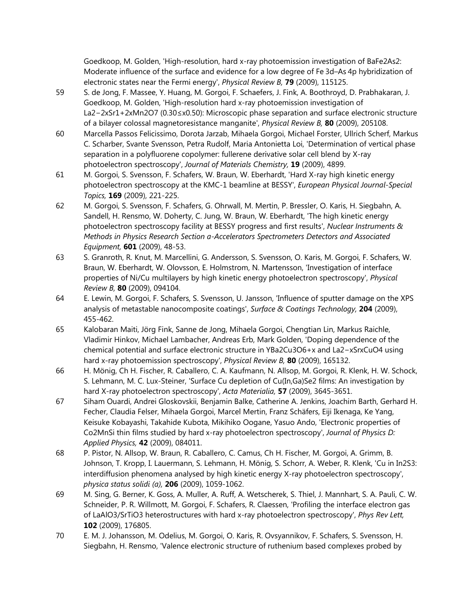Goedkoop, M. Golden, 'High-resolution, hard x-ray photoemission investigation of BaFe2As2: Moderate influence of the surface and evidence for a low degree of Fe 3d–As 4p hybridization of electronic states near the Fermi energy', *Physical Review B,* **79** (2009), 115125.

- 59 S. de Jong, F. Massee, Y. Huang, M. Gorgoi, F. Schaefers, J. Fink, A. Boothroyd, D. Prabhakaran, J. Goedkoop, M. Golden, 'High-resolution hard x-ray photoemission investigation of La2−2xSr1+2xMn2O7 (0.30≤x0.50): Microscopic phase separation and surface electronic structure of a bilayer colossal magnetoresistance manganite', *Physical Review B,* **80** (2009), 205108.
- 60 Marcella Passos Felicissimo, Dorota Jarzab, Mihaela Gorgoi, Michael Forster, Ullrich Scherf, Markus C. Scharber, Svante Svensson, Petra Rudolf, Maria Antonietta Loi, 'Determination of vertical phase separation in a polyfluorene copolymer: fullerene derivative solar cell blend by X-ray photoelectron spectroscopy', *Journal of Materials Chemistry,* **19** (2009), 4899.
- 61 M. Gorgoi, S. Svensson, F. Schafers, W. Braun, W. Eberhardt, 'Hard X-ray high kinetic energy photoelectron spectroscopy at the KMC-1 beamline at BESSY', *European Physical Journal-Special Topics,* **169** (2009), 221-225.
- 62 M. Gorgoi, S. Svensson, F. Schafers, G. Ohrwall, M. Mertin, P. Bressler, O. Karis, H. Siegbahn, A. Sandell, H. Rensmo, W. Doherty, C. Jung, W. Braun, W. Eberhardt, 'The high kinetic energy photoelectron spectroscopy facility at BESSY progress and first results', *Nuclear Instruments & Methods in Physics Research Section a-Accelerators Spectrometers Detectors and Associated Equipment,* **601** (2009), 48-53.
- 63 S. Granroth, R. Knut, M. Marcellini, G. Andersson, S. Svensson, O. Karis, M. Gorgoi, F. Schafers, W. Braun, W. Eberhardt, W. Olovsson, E. Holmstrom, N. Martensson, 'Investigation of interface properties of Ni/Cu multilayers by high kinetic energy photoelectron spectroscopy', *Physical Review B,* **80** (2009), 094104.
- 64 E. Lewin, M. Gorgoi, F. Schafers, S. Svensson, U. Jansson, 'Influence of sputter damage on the XPS analysis of metastable nanocomposite coatings', *Surface & Coatings Technology,* **204** (2009), 455-462.
- 65 Kalobaran Maiti, Jörg Fink, Sanne de Jong, Mihaela Gorgoi, Chengtian Lin, Markus Raichle, Vladimir Hinkov, Michael Lambacher, Andreas Erb, Mark Golden, 'Doping dependence of the chemical potential and surface electronic structure in YBa2Cu3O6+x and La2−xSrxCuO4 using hard x-ray photoemission spectroscopy', *Physical Review B,* **80** (2009), 165132.
- 66 H. Mönig, Ch H. Fischer, R. Caballero, C. A. Kaufmann, N. Allsop, M. Gorgoi, R. Klenk, H. W. Schock, S. Lehmann, M. C. Lux-Steiner, 'Surface Cu depletion of Cu(In,Ga)Se2 films: An investigation by hard X-ray photoelectron spectroscopy', *Acta Materialia,* **57** (2009), 3645-3651.
- 67 Siham Ouardi, Andrei Gloskovskii, Benjamin Balke, Catherine A. Jenkins, Joachim Barth, Gerhard H. Fecher, Claudia Felser, Mihaela Gorgoi, Marcel Mertin, Franz Schäfers, Eiji Ikenaga, Ke Yang, Keisuke Kobayashi, Takahide Kubota, Mikihiko Oogane, Yasuo Ando, 'Electronic properties of Co2MnSi thin films studied by hard x-ray photoelectron spectroscopy', *Journal of Physics D: Applied Physics,* **42** (2009), 084011.
- 68 P. Pistor, N. Allsop, W. Braun, R. Caballero, C. Camus, Ch H. Fischer, M. Gorgoi, A. Grimm, B. Johnson, T. Kropp, I. Lauermann, S. Lehmann, H. Mönig, S. Schorr, A. Weber, R. Klenk, 'Cu in In2S3: interdiffusion phenomena analysed by high kinetic energy X-ray photoelectron spectroscopy', *physica status solidi (a),* **206** (2009), 1059-1062.
- 69 M. Sing, G. Berner, K. Goss, A. Muller, A. Ruff, A. Wetscherek, S. Thiel, J. Mannhart, S. A. Pauli, C. W. Schneider, P. R. Willmott, M. Gorgoi, F. Schafers, R. Claessen, 'Profiling the interface electron gas of LaAlO3/SrTiO3 heterostructures with hard x-ray photoelectron spectroscopy', *Phys Rev Lett,* **102** (2009), 176805.
- 70 E. M. J. Johansson, M. Odelius, M. Gorgoi, O. Karis, R. Ovsyannikov, F. Schafers, S. Svensson, H. Siegbahn, H. Rensmo, 'Valence electronic structure of ruthenium based complexes probed by